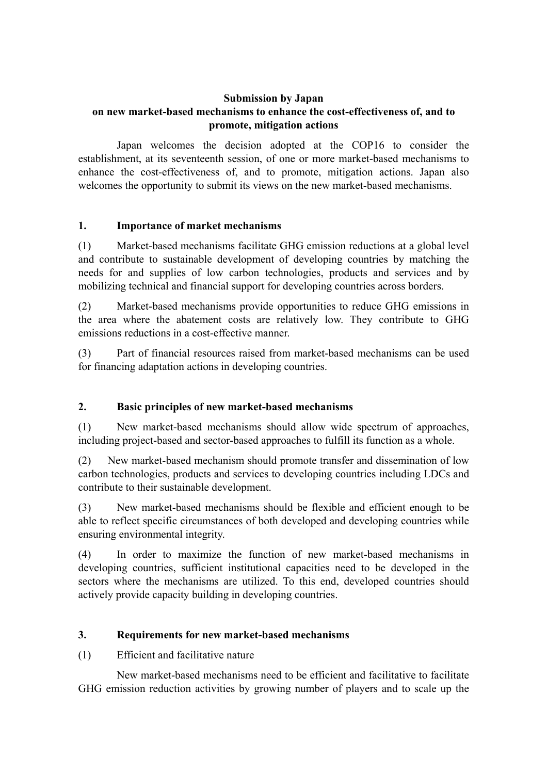## **Submission by Japan on new market-based mechanisms to enhance the cost-effectiveness of, and to promote, mitigation actions**

Japan welcomes the decision adopted at the COP16 to consider the establishment, at its seventeenth session, of one or more market-based mechanisms to enhance the cost-effectiveness of, and to promote, mitigation actions. Japan also welcomes the opportunity to submit its views on the new market-based mechanisms.

### **1. Importance of market mechanisms**

(1) Market-based mechanisms facilitate GHG emission reductions at a global level and contribute to sustainable development of developing countries by matching the needs for and supplies of low carbon technologies, products and services and by mobilizing technical and financial support for developing countries across borders.

(2) Market-based mechanisms provide opportunities to reduce GHG emissions in the area where the abatement costs are relatively low. They contribute to GHG emissions reductions in a cost-effective manner.

(3) Part of financial resources raised from market-based mechanisms can be used for financing adaptation actions in developing countries.

# **2. Basic principles of new market-based mechanisms**

(1) New market-based mechanisms should allow wide spectrum of approaches, including project-based and sector-based approaches to fulfill its function as a whole.

(2) New market-based mechanism should promote transfer and dissemination of low carbon technologies, products and services to developing countries including LDCs and contribute to their sustainable development.

(3) New market-based mechanisms should be flexible and efficient enough to be able to reflect specific circumstances of both developed and developing countries while ensuring environmental integrity.

(4) In order to maximize the function of new market-based mechanisms in developing countries, sufficient institutional capacities need to be developed in the sectors where the mechanisms are utilized. To this end, developed countries should actively provide capacity building in developing countries.

### **3. Requirements for new market-based mechanisms**

(1) Efficient and facilitative nature

New market-based mechanisms need to be efficient and facilitative to facilitate GHG emission reduction activities by growing number of players and to scale up the